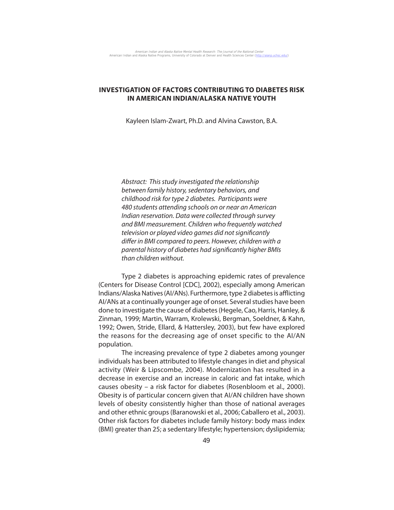# **INVESTIGATION OF FACTORS CONTRIBUTING TO DIABETES RISK IN AMERICAN INDIAN/ALASKA NATIVE YOUTH**

Kayleen Islam-Zwart, Ph.D. and Alvina Cawston, B.A.

Abstract: This study investigated the relationship between family history, sedentary behaviors, and childhood risk for type 2 diabetes. Participants were 480 students attending schools on or near an American Indian reservation. Data were collected through survey and BMI measurement. Children who frequently watched television or played video games did not significantly differ in BMI compared to peers. However, children with a parental history of diabetes had significantly higher BMIs than children without.

Type 2 diabetes is approaching epidemic rates of prevalence (Centers for Disease Control [CDC], 2002), especially among American Indians/Alaska Natives (AI/ANs). Furthermore, type 2 diabetes is afflicting AI/ANs at a continually younger age of onset. Several studies have been done to investigate the cause of diabetes (Hegele, Cao, Harris, Hanley, & Zinman, 1999; Martin, Warram, Krolewski, Bergman, Soeldner, & Kahn, 1992; Owen, Stride, Ellard, & Hattersley, 2003), but few have explored the reasons for the decreasing age of onset specific to the AI/AN population.

The increasing prevalence of type 2 diabetes among younger individuals has been attributed to lifestyle changes in diet and physical activity (Weir & Lipscombe, 2004). Modernization has resulted in a decrease in exercise and an increase in caloric and fat intake, which causes obesity – a risk factor for diabetes (Rosenbloom et al., 2000). Obesity is of particular concern given that AI/AN children have shown levels of obesity consistently higher than those of national averages and other ethnic groups (Baranowski et al., 2006; Caballero et al., 2003). Other risk factors for diabetes include family history: body mass index (BMI) greater than 25; a sedentary lifestyle; hypertension; dyslipidemia;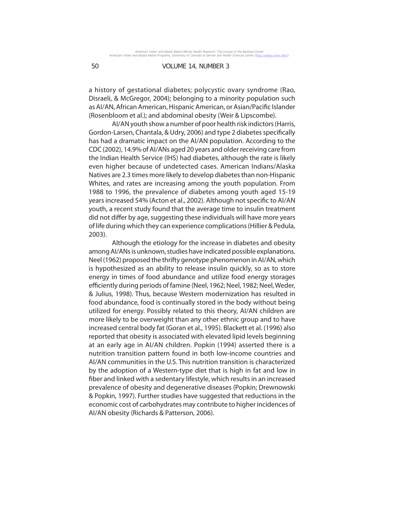a history of gestational diabetes; polycystic ovary syndrome (Rao, Disraeli, & McGregor, 2004); belonging to a minority population such as AI/AN, African American, Hispanic American, or Asian/Pacific Islander (Rosenbloom et al.); and abdominal obesity (Weir & Lipscombe).

AI/AN youth show a number of poor health risk indictors (Harris, Gordon-Larsen, Chantala, & Udry, 2006) and type 2 diabetes specifically has had a dramatic impact on the AI/AN population. According to the CDC (2002), 14.9% of AI/ANs aged 20 years and older receiving care from the Indian Health Service (IHS) had diabetes, although the rate is likely even higher because of undetected cases. American Indians/Alaska Natives are 2.3 times more likely to develop diabetes than non-Hispanic Whites, and rates are increasing among the youth population. From 1988 to 1996, the prevalence of diabetes among youth aged 15-19 years increased 54% (Acton et al., 2002). Although not specific to AI/AN youth, a recent study found that the average time to insulin treatment did not differ by age, suggesting these individuals will have more years of life during which they can experience complications (Hillier & Pedula, 2003).

Although the etiology for the increase in diabetes and obesity among AI/ANs is unknown, studies have indicated possible explanations. Neel (1962) proposed the thrifty genotype phenomenon in AI/AN, which is hypothesized as an ability to release insulin quickly, so as to store energy in times of food abundance and utilize food energy storages efficiently during periods of famine (Neel, 1962; Neel, 1982; Neel, Weder, & Julius, 1998). Thus, because Western modernization has resulted in food abundance, food is continually stored in the body without being utilized for energy. Possibly related to this theory, AI/AN children are more likely to be overweight than any other ethnic group and to have increased central body fat (Goran et al., 1995). Blackett et al. (1996) also reported that obesity is associated with elevated lipid levels beginning at an early age in AI/AN children. Popkin (1994) asserted there is a nutrition transition pattern found in both low-income countries and AI/AN communities in the U.S. This nutrition transition is characterized by the adoption of a Western-type diet that is high in fat and low in fiber and linked with a sedentary lifestyle, which results in an increased prevalence of obesity and degenerative diseases (Popkin; Drewnowski & Popkin, 1997). Further studies have suggested that reductions in the economic cost of carbohydrates may contribute to higher incidences of AI/AN obesity (Richards & Patterson, 2006).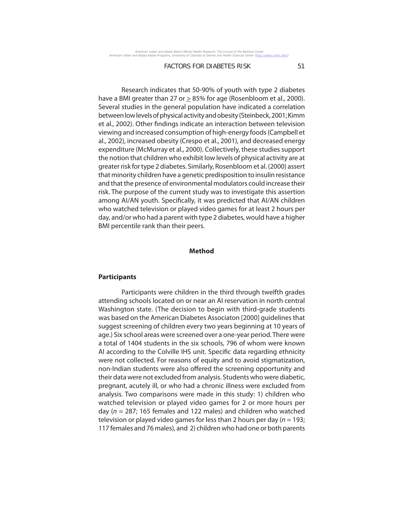Research indicates that 50-90% of youth with type 2 diabetes have a BMI greater than 27 or  $\geq$  85% for age (Rosenbloom et al., 2000). Several studies in the general population have indicated a correlation between low levels of physical activity and obesity (Steinbeck, 2001; Kimm et al., 2002). Other findings indicate an interaction between television viewing and increased consumption of high-energy foods (Campbell et al., 2002), increased obesity (Crespo et al., 2001), and decreased energy expenditure (McMurray et al., 2000). Collectively, these studies support the notion that children who exhibit low levels of physical activity are at greater risk for type 2 diabetes. Similarly, Rosenbloom et al. (2000) assert that minority children have a genetic predisposition to insulin resistance and that the presence of environmental modulators could increase their risk. The purpose of the current study was to investigate this assertion among AI/AN youth. Specifically, it was predicted that AI/AN children who watched television or played video games for at least 2 hours per day, and/or who had a parent with type 2 diabetes, would have a higher BMI percentile rank than their peers.

## **Method**

### **Participants**

Participants were children in the third through twelfth grades attending schools located on or near an AI reservation in north central Washington state. (The decision to begin with third-grade students was based on the American Diabetes Associaton [2000] guidelines that suggest screening of children every two years beginning at 10 years of age.) Six school areas were screened over a one-year period. There were a total of 1404 students in the six schools, 796 of whom were known AI according to the Colville IHS unit. Specific data regarding ethnicity were not collected. For reasons of equity and to avoid stigmatization, non-Indian students were also offered the screening opportunity and their data were not excluded from analysis. Students who were diabetic, pregnant, acutely ill, or who had a chronic illness were excluded from analysis. Two comparisons were made in this study: 1) children who watched television or played video games for 2 or more hours per day ( $n = 287$ ; 165 females and 122 males) and children who watched television or played video games for less than 2 hours per day ( $n = 193$ ; 117 females and 76 males), and 2) children who had one or both parents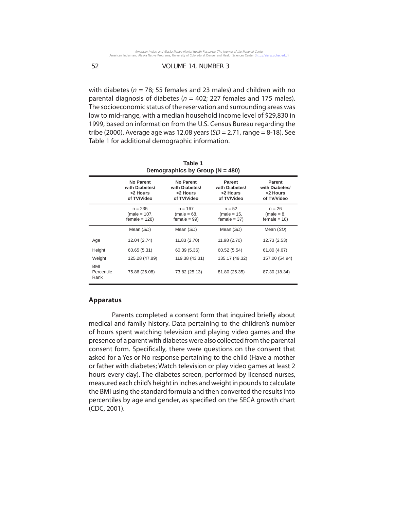with diabetes ( $n = 78$ ; 55 females and 23 males) and children with no parental diagnosis of diabetes ( $n = 402$ ; 227 females and 175 males). The socioeconomic status of the reservation and surrounding areas was low to mid-range, with a median household income level of \$29,830 in 1999, based on information from the U.S. Census Bureau regarding the tribe (2000). Average age was 12.08 years ( $SD = 2.71$ , range = 8-18). See Table 1 for additional demographic information.

| Demographics by Group ( $N = 480$ ) |                                                        |                                                        |                                                     |                                                     |  |
|-------------------------------------|--------------------------------------------------------|--------------------------------------------------------|-----------------------------------------------------|-----------------------------------------------------|--|
|                                     | No Parent<br>with Diabetes/<br>>2 Hours<br>of TV/Video | No Parent<br>with Diabetes/<br><2 Hours<br>of TV/Video | Parent<br>with Diabetes/<br>>2 Hours<br>of TV/Video | Parent<br>with Diabetes/<br><2 Hours<br>of TV/Video |  |
|                                     | $n = 235$<br>(male = 107,<br>$female = 128$            | $n = 167$<br>$(male = 68,$<br>$female = 99$            | $n = 52$<br>$(male = 15,$<br>$female = 37$          | $n = 26$<br>$(male = 8,$<br>$female = 18$           |  |
|                                     | Mean (SD)                                              | Mean (SD)                                              | Mean (SD)                                           | Mean (SD)                                           |  |
| Age                                 | 12.04 (2.74)                                           | 11.83 (2.70)                                           | 11.98 (2.70)                                        | 12.73 (2.53)                                        |  |
| Height                              | 60.65 (5.31)                                           | 60.39 (5.36)                                           | 60.52 (5.54)                                        | 61.80 (4.67)                                        |  |
| Weight                              | 125.28 (47.89)                                         | 119.38 (43.31)                                         | 135.17 (49.32)                                      | 157.00 (54.94)                                      |  |
| <b>BMI</b><br>Percentile<br>Rank    | 75.86 (26.08)                                          | 73.82 (25.13)                                          | 81.80 (25.35)                                       | 87.30 (18.34)                                       |  |

| Table 1                        |  |  |  |  |  |
|--------------------------------|--|--|--|--|--|
| Demographics by Group (N = 480 |  |  |  |  |  |

#### **Apparatus**

Parents completed a consent form that inquired briefly about medical and family history. Data pertaining to the children's number of hours spent watching television and playing video games and the presence of a parent with diabetes were also collected from the parental consent form. Specifically, there were questions on the consent that asked for a Yes or No response pertaining to the child (Have a mother or father with diabetes; Watch television or play video games at least 2 hours every day). The diabetes screen, performed by licensed nurses, measured each child's height in inches and weight in pounds to calculate the BMI using the standard formula and then converted the results into percentiles by age and gender, as specified on the SECA growth chart (CDC, 2001).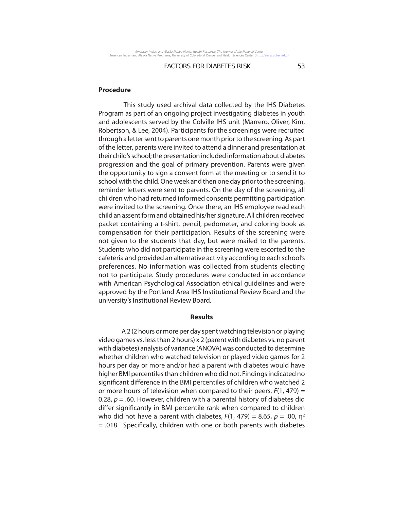### **Procedure**

 This study used archival data collected by the IHS Diabetes Program as part of an ongoing project investigating diabetes in youth and adolescents served by the Colville IHS unit (Marrero, Oliver, Kim, Robertson, & Lee, 2004). Participants for the screenings were recruited through a letter sent to parents one month prior to the screening. As part of the letter, parents were invited to attend a dinner and presentation at their child's school; the presentation included information about diabetes progression and the goal of primary prevention. Parents were given the opportunity to sign a consent form at the meeting or to send it to school with the child. One week and then one day prior to the screening, reminder letters were sent to parents. On the day of the screening, all children who had returned informed consents permitting participation were invited to the screening. Once there, an IHS employee read each child an assent form and obtained his/her signature. All children received packet containing a t-shirt, pencil, pedometer, and coloring book as compensation for their participation. Results of the screening were not given to the students that day, but were mailed to the parents. Students who did not participate in the screening were escorted to the cafeteria and provided an alternative activity according to each school's preferences. No information was collected from students electing not to participate. Study procedures were conducted in accordance with American Psychological Association ethical guidelines and were approved by the Portland Area IHS Institutional Review Board and the university's Institutional Review Board.

### **Results**

A 2 (2 hours or more per day spent watching television or playing video games vs. less than 2 hours) x 2 (parent with diabetes vs. no parent with diabetes) analysis of variance (ANOVA) was conducted to determine whether children who watched television or played video games for 2 hours per day or more and/or had a parent with diabetes would have higher BMI percentiles than children who did not. Findings indicated no significant difference in the BMI percentiles of children who watched 2 or more hours of television when compared to their peers,  $F(1, 479) =$ 0.28,  $p = 0.60$ . However, children with a parental history of diabetes did differ significantly in BMI percentile rank when compared to children who did not have a parent with diabetes,  $F(1, 479) = 8.65$ ,  $p = .00$ ,  $\eta^2$  $= .018$ . Specifically, children with one or both parents with diabetes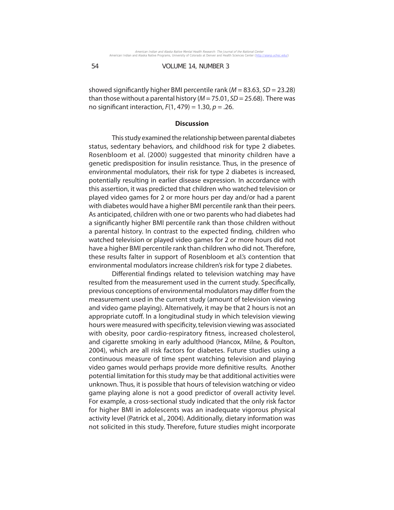showed significantly higher BMI percentile rank ( $M = 83.63$ ,  $SD = 23.28$ ) than those without a parental history ( $M = 75.01$ ,  $SD = 25.68$ ). There was no significant interaction,  $F(1, 479) = 1.30$ ,  $p = .26$ .

## **Discussion**

This study examined the relationship between parental diabetes status, sedentary behaviors, and childhood risk for type 2 diabetes. Rosenbloom et al. (2000) suggested that minority children have a genetic predisposition for insulin resistance. Thus, in the presence of environmental modulators, their risk for type 2 diabetes is increased, potentially resulting in earlier disease expression. In accordance with this assertion, it was predicted that children who watched television or played video games for 2 or more hours per day and/or had a parent with diabetes would have a higher BMI percentile rank than their peers. As anticipated, children with one or two parents who had diabetes had a significantly higher BMI percentile rank than those children without a parental history. In contrast to the expected finding, children who watched television or played video games for 2 or more hours did not have a higher BMI percentile rank than children who did not. Therefore, these results falter in support of Rosenbloom et al.'s contention that environmental modulators increase children's risk for type 2 diabetes.

Differential findings related to television watching may have resulted from the measurement used in the current study. Specifically, previous conceptions of environmental modulators may differ from the measurement used in the current study (amount of television viewing and video game playing). Alternatively, it may be that 2 hours is not an appropriate cutoff. In a longitudinal study in which television viewing hours were measured with specificity, television viewing was associated with obesity, poor cardio-respiratory fitness, increased cholesterol, and cigarette smoking in early adulthood (Hancox, Milne, & Poulton, 2004), which are all risk factors for diabetes. Future studies using a continuous measure of time spent watching television and playing video games would perhaps provide more definitive results. Another potential limitation for this study may be that additional activities were unknown. Thus, it is possible that hours of television watching or video game playing alone is not a good predictor of overall activity level. For example, a cross-sectional study indicated that the only risk factor for higher BMI in adolescents was an inadequate vigorous physical activity level (Patrick et al., 2004). Additionally, dietary information was not solicited in this study. Therefore, future studies might incorporate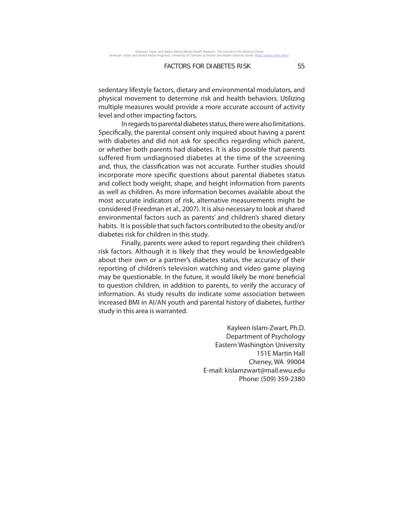sedentary lifestyle factors, dietary and environmental modulators, and physical movement to determine risk and health behaviors. Utilizing multiple measures would provide a more accurate account of activity level and other impacting factors.

In regards to parental diabetes status, there were also limitations. Specifically, the parental consent only inquired about having a parent with diabetes and did not ask for specifics regarding which parent, or whether both parents had diabetes. It is also possible that parents suffered from undiagnosed diabetes at the time of the screening and, thus, the classification was not accurate. Further studies should incorporate more specific questions about parental diabetes status and collect body weight, shape, and height information from parents as well as children. As more information becomes available about the most accurate indicators of risk, alternative measurements might be considered (Freedman et al., 2007). It is also necessary to look at shared environmental factors such as parents' and children's shared dietary habits. It is possible that such factors contributed to the obesity and/or diabetes risk for children in this study.

Finally, parents were asked to report regarding their children's risk factors. Although it is likely that they would be knowledgeable about their own or a partner's diabetes status, the accuracy of their reporting of children's television watching and video game playing may be questionable. In the future, it would likely be more beneficial to question children, in addition to parents, to verify the accuracy of information. As study results do indicate some association between increased BMI in AI/AN youth and parental history of diabetes, further study in this area is warranted.

> Kayleen Islam-Zwart, Ph.D. Department of Psychology Eastern Washington University 151E Martin Hall Cheney, WA 99004 E-mail: kislamzwart@mail.ewu.edu Phone: (509) 359-2380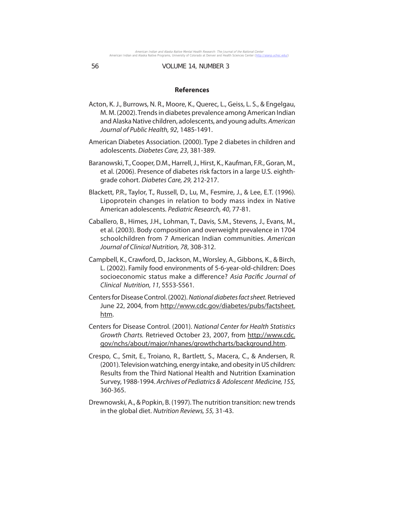#### **References**

- Acton, K. J., Burrows, N. R., Moore, K., Querec, L., Geiss, L. S., & Engelgau, M. M. (2002). Trends in diabetes prevalence among American Indian and Alaska Native children, adolescents, and young adults. American Journal of Public Health, 92, 1485-1491.
- American Diabetes Association. (2000). Type 2 diabetes in children and adolescents. Diabetes Care, 23, 381-389.
- Baranowski, T., Cooper, D.M., Harrell, J., Hirst, K., Kaufman, F.R., Goran, M., et al. (2006). Presence of diabetes risk factors in a large U.S. eighthgrade cohort. Diabetes Care, 29, 212-217.
- Blackett, P.R., Taylor, T., Russell, D., Lu, M., Fesmire, J., & Lee, E.T. (1996). Lipoprotein changes in relation to body mass index in Native American adolescents. Pediatric Research, 40, 77-81.
- Caballero, B., Himes, J.H., Lohman, T., Davis, S.M., Stevens, J., Evans, M., et al. (2003). Body composition and overweight prevalence in 1704 schoolchildren from 7 American Indian communities. American Journal of Clinical Nutrition, 78, 308-312.
- Campbell, K., Crawford, D., Jackson, M., Worsley, A., Gibbons, K., & Birch, L. (2002). Family food environments of 5-6-year-old-children: Does socioeconomic status make a difference? Asia Pacific Journal of Clinical Nutrition, 11, S553-S561.
- Centers for Disease Control. (2002). National diabetes fact sheet. Retrieved June 22, 2004, from http://www.cdc.gov/diabetes/pubs/factsheet. htm.
- Centers for Disease Control. (2001). National Center for Health Statistics Growth Charts. Retrieved October 23, 2007, from http://www.cdc. gov/nchs/about/major/nhanes/growthcharts/background.htm.
- Crespo, C., Smit, E., Troiano, R., Bartlett, S., Macera, C., & Andersen, R. (2001). Television watching, energy intake, and obesity in US children: Results from the Third National Health and Nutrition Examination Survey, 1988-1994. Archives of Pediatrics & Adolescent Medicine, 155, 360-365.
- Drewnowski, A., & Popkin, B. (1997). The nutrition transition: new trends in the global diet. Nutrition Reviews, 55, 31-43.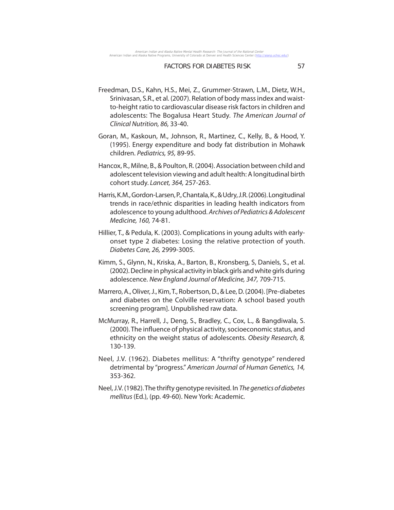- Freedman, D.S., Kahn, H.S., Mei, Z., Grummer-Strawn, L.M., Dietz, W.H., Srinivasan, S.R., et al. (2007). Relation of body mass index and waistto-height ratio to cardiovascular disease risk factors in children and adolescents: The Bogalusa Heart Study. The American Journal of Clinical Nutrition, 86, 33-40.
- Goran, M., Kaskoun, M., Johnson, R., Martinez, C., Kelly, B., & Hood, Y. (1995). Energy expenditure and body fat distribution in Mohawk children. Pediatrics, 95, 89-95.
- Hancox, R., Milne, B., & Poulton, R. (2004). Association between child and adolescent television viewing and adult health: A longitudinal birth cohort study. Lancet, 364, 257-263.
- Harris, K.M., Gordon-Larsen, P., Chantala, K., & Udry, J.R. (2006). Longitudinal trends in race/ethnic disparities in leading health indicators from adolescence to young adulthood. Archives of Pediatrics & Adolescent Medicine, 160, 74-81.
- Hillier, T., & Pedula, K. (2003). Complications in young adults with earlyonset type 2 diabetes: Losing the relative protection of youth. Diabetes Care, 26, 2999-3005.
- Kimm, S., Glynn, N., Kriska, A., Barton, B., Kronsberg, S, Daniels, S., et al. (2002). Decline in physical activity in black girls and white girls during adolescence. New England Journal of Medicine, 347, 709-715.
- Marrero, A., Oliver, J., Kim, T., Robertson, D., & Lee, D. (2004). [Pre-diabetes and diabetes on the Colville reservation: A school based youth screening program]. Unpublished raw data.
- McMurray, R., Harrell, J., Deng, S., Bradley, C., Cox, L., & Bangdiwala, S. (2000). The influence of physical activity, socioeconomic status, and ethnicity on the weight status of adolescents. Obesity Research, 8, 130-139.
- Neel, J.V. (1962). Diabetes mellitus: A "thrifty genotype" rendered detrimental by "progress." American Journal of Human Genetics, 14, 353-362.
- Neel, J.V. (1982). The thrifty genotype revisited. In The genetics of diabetes mellitus (Ed.), (pp. 49-60). New York: Academic.